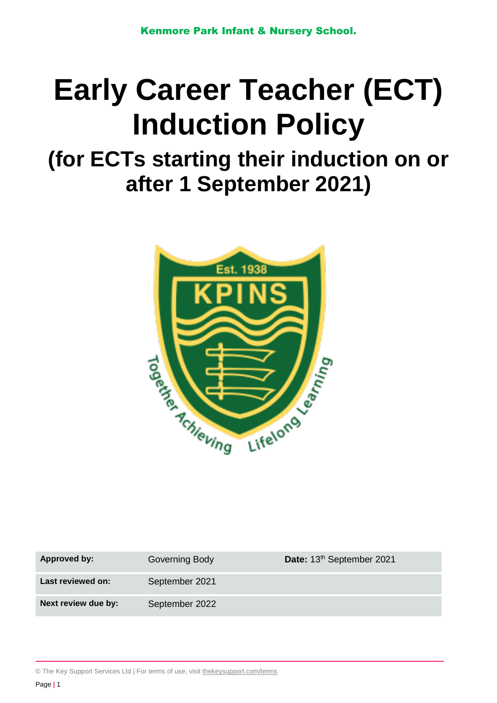# **Early Career Teacher (ECT) Induction Policy**

# **(for ECTs starting their induction on or after 1 September 2021)**



| Approved by:        | Governing Body | Date: 13 <sup>th</sup> September 2021 |
|---------------------|----------------|---------------------------------------|
| Last reviewed on:   | September 2021 |                                       |
| Next review due by: | September 2022 |                                       |

© The Key Support Services Ltd | For terms of use, visit [thekeysupport.com/terms](https://thekeysupport.com/terms-of-use)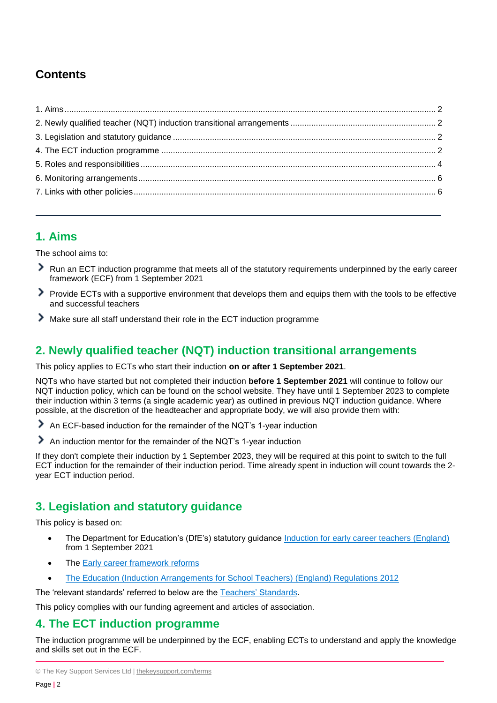# **Contents**

# <span id="page-1-0"></span>**1. Aims**

The school aims to:

- Run an ECT induction programme that meets all of the statutory requirements underpinned by the early career framework (ECF) from 1 September 2021
- ⋗ Provide ECTs with a supportive environment that develops them and equips them with the tools to be effective and successful teachers
- ⋗ Make sure all staff understand their role in the ECT induction programme

# <span id="page-1-1"></span>**2. Newly qualified teacher (NQT) induction transitional arrangements**

This policy applies to ECTs who start their induction **on or after 1 September 2021**.

NQTs who have started but not completed their induction **before 1 September 2021** will continue to follow our NQT induction policy, which can be found on the school website. They have until 1 September 2023 to complete their induction within 3 terms (a single academic year) as outlined in previous NQT induction guidance. Where possible, at the discretion of the headteacher and appropriate body, we will also provide them with:

An ECF-based induction for the remainder of the NQT's 1-year induction

⋟ An induction mentor for the remainder of the NQT's 1-year induction

If they don't complete their induction by 1 September 2023, they will be required at this point to switch to the full ECT induction for the remainder of their induction period. Time already spent in induction will count towards the 2 year ECT induction period.

# <span id="page-1-2"></span>**3. Legislation and statutory guidance**

This policy is based on:

- The Department for Education's (DfE's) statutory guidance [Induction for early career teachers \(England\)](https://www.gov.uk/government/publications/induction-for-early-career-teachers-england) from 1 September 2021
- The [Early career framework reforms](https://www.gov.uk/government/collections/early-career-framework-reforms)
- [The Education \(Induction Arrangements for School Teachers\) \(England\) Regulations 2012](http://www.legislation.gov.uk/uksi/2012/1115/contents/made)

The 'relevant standards' referred to below are the [Teachers' Standards.](https://www.gov.uk/government/publications/teachers-standards)

This policy complies with our funding agreement and articles of association.

### <span id="page-1-3"></span>**4. The ECT induction programme**

The induction programme will be underpinned by the ECF, enabling ECTs to understand and apply the knowledge and skills set out in the ECF.

<sup>©</sup> The Key Support Services Ltd | [thekeysupport.com/terms](https://thekeysupport.com/terms-of-use)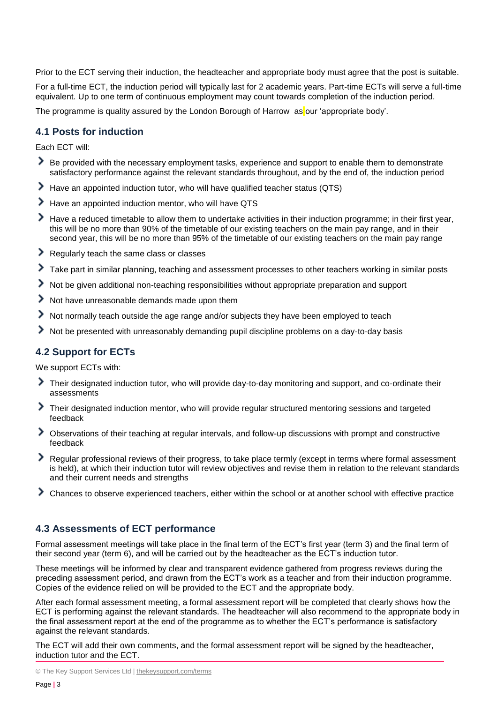Prior to the ECT serving their induction, the headteacher and appropriate body must agree that the post is suitable.

For a full-time ECT, the induction period will typically last for 2 academic years. Part-time ECTs will serve a full-time equivalent. Up to one term of continuous employment may count towards completion of the induction period.

The programme is quality assured by the London Borough of Harrow as our 'appropriate body'.

#### **4.1 Posts for induction**

Each ECT will:

- Be provided with the necessary employment tasks, experience and support to enable them to demonstrate satisfactory performance against the relevant standards throughout, and by the end of, the induction period
- Have an appointed induction tutor, who will have qualified teacher status (QTS) ⋗
- ⋟ Have an appointed induction mentor, who will have QTS
- Have a reduced timetable to allow them to undertake activities in their induction programme; in their first year, ≻ this will be no more than 90% of the timetable of our existing teachers on the main pay range, and in their second year, this will be no more than 95% of the timetable of our existing teachers on the main pay range
- Regularly teach the same class or classes ≻
- ⋟ Take part in similar planning, teaching and assessment processes to other teachers working in similar posts
- ≻ Not be given additional non-teaching responsibilities without appropriate preparation and support
- ⋟ Not have unreasonable demands made upon them
- ⋗ Not normally teach outside the age range and/or subjects they have been employed to teach
- Not be presented with unreasonably demanding pupil discipline problems on a day-to-day basis

#### **4.2 Support for ECTs**

We support ECTs with:

- ⋗ Their designated induction tutor, who will provide day-to-day monitoring and support, and co-ordinate their assessments
- Their designated induction mentor, who will provide regular structured mentoring sessions and targeted feedback
- Observations of their teaching at regular intervals, and follow-up discussions with prompt and constructive feedback
- Regular professional reviews of their progress, to take place termly (except in terms where formal assessment is held), at which their induction tutor will review objectives and revise them in relation to the relevant standards and their current needs and strengths
- ⋗ Chances to observe experienced teachers, either within the school or at another school with effective practice

#### **4.3 Assessments of ECT performance**

Formal assessment meetings will take place in the final term of the ECT's first year (term 3) and the final term of their second year (term 6), and will be carried out by the headteacher as the ECT's induction tutor.

These meetings will be informed by clear and transparent evidence gathered from progress reviews during the preceding assessment period, and drawn from the ECT's work as a teacher and from their induction programme. Copies of the evidence relied on will be provided to the ECT and the appropriate body.

After each formal assessment meeting, a formal assessment report will be completed that clearly shows how the ECT is performing against the relevant standards. The headteacher will also recommend to the appropriate body in the final assessment report at the end of the programme as to whether the ECT's performance is satisfactory against the relevant standards.

The ECT will add their own comments, and the formal assessment report will be signed by the headteacher, induction tutor and the ECT.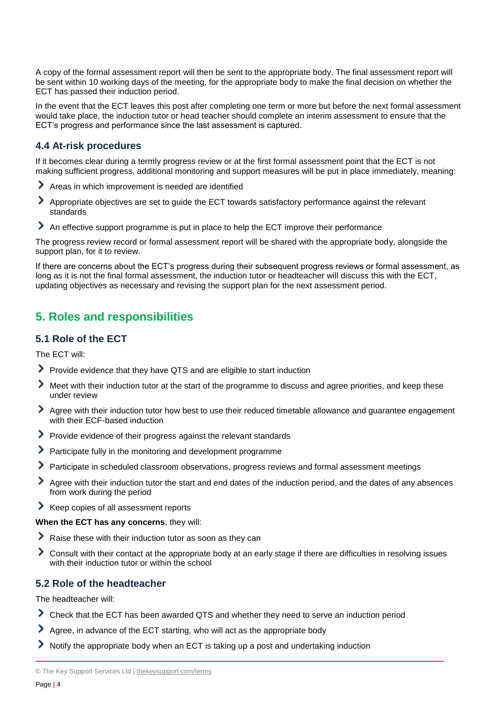A copy of the formal assessment report will then be sent to the appropriate body. The final assessment report will be sent within 10 working days of the meeting, for the appropriate body to make the final decision on whether the ECT has passed their induction period.

In the event that the ECT leaves this post after completing one term or more but before the next formal assessment would take place, the induction tutor or head teacher should complete an interim assessment to ensure that the ECT's progress and performance since the last assessment is captured.

#### **4.4 At-risk procedures**

If it becomes clear during a termly progress review or at the first formal assessment point that the ECT is not making sufficient progress, additional monitoring and support measures will be put in place immediately, meaning:

- Areas in which improvement is needed are identified
- ⋟ Appropriate objectives are set to guide the ECT towards satisfactory performance against the relevant standards
- An effective support programme is put in place to help the ECT improve their performance

The progress review record or formal assessment report will be shared with the appropriate body, alongside the support plan, for it to review.

If there are concerns about the ECT's progress during their subsequent progress reviews or formal assessment, as long as it is not the final formal assessment, the induction tutor or headteacher will discuss this with the ECT, updating objectives as necessary and revising the support plan for the next assessment period.

# <span id="page-3-0"></span>**5. Roles and responsibilities**

#### **5.1 Role of the ECT**

The ECT will:

- Provide evidence that they have QTS and are eligible to start induction
- Meet with their induction tutor at the start of the programme to discuss and agree priorities, and keep these under review
- Agree with their induction tutor how best to use their reduced timetable allowance and guarantee engagement with their ECF-based induction
- Provide evidence of their progress against the relevant standards
- Participate fully in the monitoring and development programme
- ≻ Participate in scheduled classroom observations, progress reviews and formal assessment meetings
- ⋗ Agree with their induction tutor the start and end dates of the induction period, and the dates of any absences from work during the period
- Keep copies of all assessment reports

#### **When the ECT has any concerns**, they will:

- ⋗ Raise these with their induction tutor as soon as they can
- ⋟ Consult with their contact at the appropriate body at an early stage if there are difficulties in resolving issues with their induction tutor or within the school

#### **5.2 Role of the headteacher**

The headteacher will:

- Check that the ECT has been awarded QTS and whether they need to serve an induction period
- Agree, in advance of the ECT starting, who will act as the appropriate body
- Notify the appropriate body when an ECT is taking up a post and undertaking induction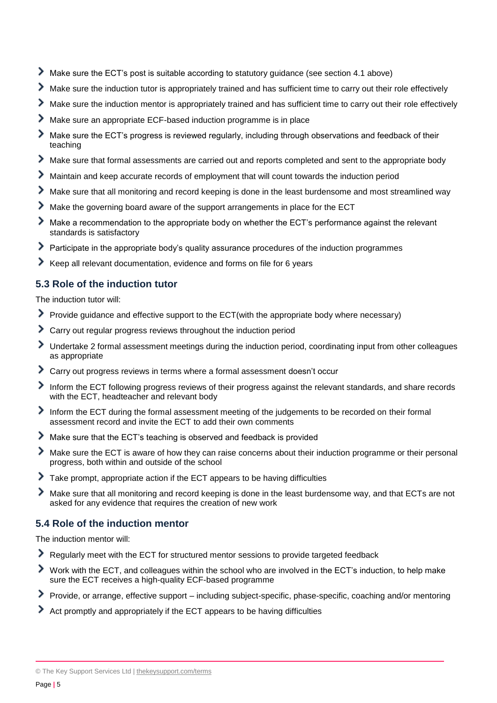- Make sure the ECT's post is suitable according to statutory guidance (see section 4.1 above)
- Make sure the induction tutor is appropriately trained and has sufficient time to carry out their role effectively
- Make sure the induction mentor is appropriately trained and has sufficient time to carry out their role effectively ⋗
- ≻ Make sure an appropriate ECF-based induction programme is in place
- ⋟ Make sure the ECT's progress is reviewed regularly, including through observations and feedback of their teaching
- ≻ Make sure that formal assessments are carried out and reports completed and sent to the appropriate body
- ≻ Maintain and keep accurate records of employment that will count towards the induction period
- Make sure that all monitoring and record keeping is done in the least burdensome and most streamlined way
- ⋟ Make the governing board aware of the support arrangements in place for the ECT
- ⋟ Make a recommendation to the appropriate body on whether the ECT's performance against the relevant standards is satisfactory
- Participate in the appropriate body's quality assurance procedures of the induction programmes
- Keep all relevant documentation, evidence and forms on file for 6 years ⋗

#### **5.3 Role of the induction tutor**

The induction tutor will:

- Provide guidance and effective support to the ECT(with the appropriate body where necessary)
- ⋟ Carry out regular progress reviews throughout the induction period
- ⋟ Undertake 2 formal assessment meetings during the induction period, coordinating input from other colleagues as appropriate
- Carry out progress reviews in terms where a formal assessment doesn't occur
- Inform the ECT following progress reviews of their progress against the relevant standards, and share records with the ECT, headteacher and relevant body
- Inform the ECT during the formal assessment meeting of the judgements to be recorded on their formal assessment record and invite the ECT to add their own comments
- Make sure that the ECT's teaching is observed and feedback is provided
- ⋟ Make sure the ECT is aware of how they can raise concerns about their induction programme or their personal progress, both within and outside of the school
- ⋗ Take prompt, appropriate action if the ECT appears to be having difficulties
- ⋟ Make sure that all monitoring and record keeping is done in the least burdensome way, and that ECTs are not asked for any evidence that requires the creation of new work

#### **5.4 Role of the induction mentor**

The induction mentor will:

- Regularly meet with the ECT for structured mentor sessions to provide targeted feedback
- ≻ Work with the ECT, and colleagues within the school who are involved in the ECT's induction, to help make sure the ECT receives a high-quality ECF-based programme
- Provide, or arrange, effective support including subject-specific, phase-specific, coaching and/or mentoring
- Act promptly and appropriately if the ECT appears to be having difficulties

<sup>©</sup> The Key Support Services Ltd | [thekeysupport.com/terms](https://thekeysupport.com/terms-of-use)